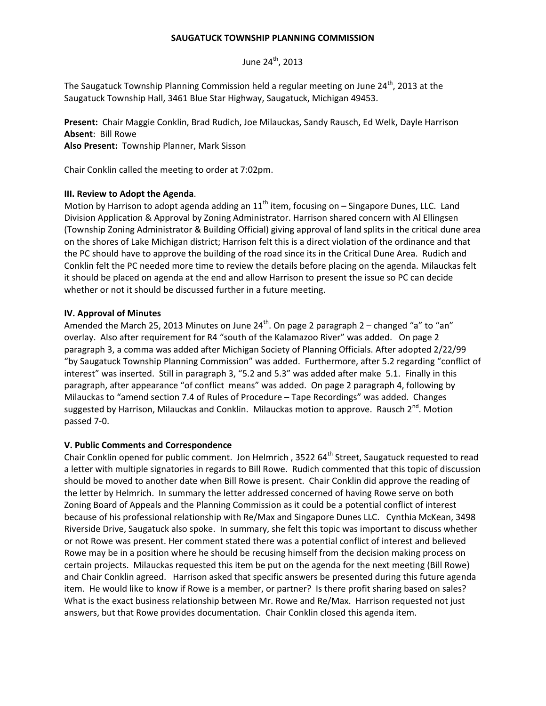#### **SAUGATUCK TOWNSHIP PLANNING COMMISSION**

June  $24^{th}$ , 2013

The Saugatuck Township Planning Commission held a regular meeting on June  $24<sup>th</sup>$ , 2013 at the Saugatuck Township Hall, 3461 Blue Star Highway, Saugatuck, Michigan 49453.

**Present:** Chair Maggie Conklin, Brad Rudich, Joe Milauckas, Sandy Rausch, Ed Welk, Dayle Harrison **Absent**: Bill Rowe

**Also Present:** Township Planner, Mark Sisson

Chair Conklin called the meeting to order at 7:02pm.

### **III. Review to Adopt the Agenda**.

Motion by Harrison to adopt agenda adding an  $11<sup>th</sup>$  item, focusing on – Singapore Dunes, LLC. Land Division Application & Approval by Zoning Administrator. Harrison shared concern with Al Ellingsen (Township Zoning Administrator & Building Official) giving approval of land splits in the critical dune area on the shores of Lake Michigan district; Harrison felt this is a direct violation of the ordinance and that the PC should have to approve the building of the road since its in the Critical Dune Area. Rudich and Conklin felt the PC needed more time to review the details before placing on the agenda. Milauckas felt it should be placed on agenda at the end and allow Harrison to present the issue so PC can decide whether or not it should be discussed further in a future meeting.

### **IV. Approval of Minutes**

Amended the March 25, 2013 Minutes on June 24<sup>th</sup>. On page 2 paragraph 2 – changed "a" to "an" overlay. Also after requirement for R4 "south of the Kalamazoo River" was added. On page 2 paragraph 3, a comma was added after Michigan Society of Planning Officials. After adopted 2/22/99 "by Saugatuck Township Planning Commission" was added. Furthermore, after 5.2 regarding "conflict of interest" was inserted. Still in paragraph 3, "5.2 and 5.3" was added after make 5.1. Finally in this paragraph, after appearance "of conflict means" was added. On page 2 paragraph 4, following by Milauckas to "amend section 7.4 of Rules of Procedure – Tape Recordings" was added. Changes suggested by Harrison, Milauckas and Conklin. Milauckas motion to approve. Rausch 2<sup>nd</sup>. Motion passed 7-0.

#### **V. Public Comments and Correspondence**

Chair Conklin opened for public comment. Jon Helmrich, 3522 64<sup>th</sup> Street, Saugatuck requested to read a letter with multiple signatories in regards to Bill Rowe. Rudich commented that this topic of discussion should be moved to another date when Bill Rowe is present. Chair Conklin did approve the reading of the letter by Helmrich. In summary the letter addressed concerned of having Rowe serve on both Zoning Board of Appeals and the Planning Commission as it could be a potential conflict of interest because of his professional relationship with Re/Max and Singapore Dunes LLC. Cynthia McKean, 3498 Riverside Drive, Saugatuck also spoke. In summary, she felt this topic was important to discuss whether or not Rowe was present. Her comment stated there was a potential conflict of interest and believed Rowe may be in a position where he should be recusing himself from the decision making process on certain projects. Milauckas requested this item be put on the agenda for the next meeting (Bill Rowe) and Chair Conklin agreed. Harrison asked that specific answers be presented during this future agenda item. He would like to know if Rowe is a member, or partner? Is there profit sharing based on sales? What is the exact business relationship between Mr. Rowe and Re/Max. Harrison requested not just answers, but that Rowe provides documentation. Chair Conklin closed this agenda item.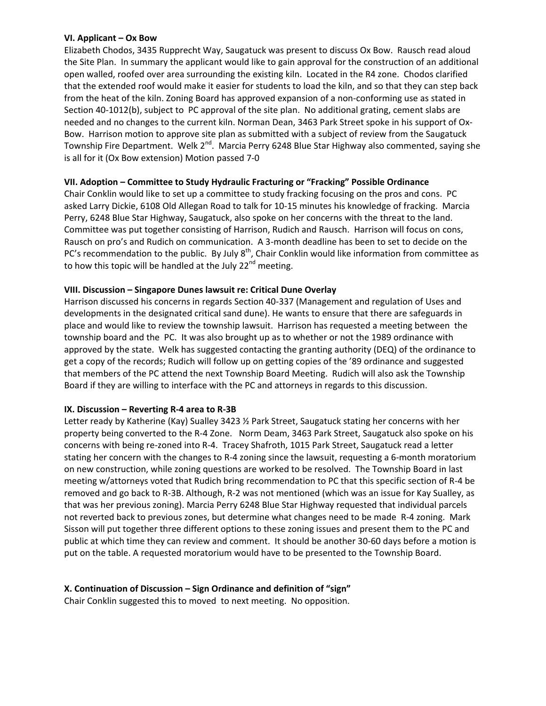### **VI. Applicant – Ox Bow**

Elizabeth Chodos, 3435 Rupprecht Way, Saugatuck was present to discuss Ox Bow. Rausch read aloud the Site Plan. In summary the applicant would like to gain approval for the construction of an additional open walled, roofed over area surrounding the existing kiln. Located in the R4 zone. Chodos clarified that the extended roof would make it easier for students to load the kiln, and so that they can step back from the heat of the kiln. Zoning Board has approved expansion of a non-conforming use as stated in Section 40-1012(b), subject to PC approval of the site plan. No additional grating, cement slabs are needed and no changes to the current kiln. Norman Dean, 3463 Park Street spoke in his support of Ox-Bow. Harrison motion to approve site plan as submitted with a subject of review from the Saugatuck Township Fire Department. Welk 2<sup>nd</sup>. Marcia Perry 6248 Blue Star Highway also commented, saying she is all for it (Ox Bow extension) Motion passed 7-0

# **VII. Adoption – Committee to Study Hydraulic Fracturing or "Fracking" Possible Ordinance**

Chair Conklin would like to set up a committee to study fracking focusing on the pros and cons. PC asked Larry Dickie, 6108 Old Allegan Road to talk for 10-15 minutes his knowledge of fracking. Marcia Perry, 6248 Blue Star Highway, Saugatuck, also spoke on her concerns with the threat to the land. Committee was put together consisting of Harrison, Rudich and Rausch. Harrison will focus on cons, Rausch on pro's and Rudich on communication. A 3-month deadline has been to set to decide on the PC's recommendation to the public. By July  $8<sup>th</sup>$ , Chair Conklin would like information from committee as to how this topic will be handled at the July  $22<sup>nd</sup>$  meeting.

# **VIII. Discussion – Singapore Dunes lawsuit re: Critical Dune Overlay**

Harrison discussed his concerns in regards Section 40-337 (Management and regulation of Uses and developments in the designated critical sand dune). He wants to ensure that there are safeguards in place and would like to review the township lawsuit. Harrison has requested a meeting between the township board and the PC. It was also brought up as to whether or not the 1989 ordinance with approved by the state. Welk has suggested contacting the granting authority (DEQ) of the ordinance to get a copy of the records; Rudich will follow up on getting copies of the '89 ordinance and suggested that members of the PC attend the next Township Board Meeting. Rudich will also ask the Township Board if they are willing to interface with the PC and attorneys in regards to this discussion.

# **IX. Discussion – Reverting R-4 area to R-3B**

Letter ready by Katherine (Kay) Sualley 3423 ½ Park Street, Saugatuck stating her concerns with her property being converted to the R-4 Zone. Norm Deam, 3463 Park Street, Saugatuck also spoke on his concerns with being re-zoned into R-4. Tracey Shafroth, 1015 Park Street, Saugatuck read a letter stating her concern with the changes to R-4 zoning since the lawsuit, requesting a 6-month moratorium on new construction, while zoning questions are worked to be resolved. The Township Board in last meeting w/attorneys voted that Rudich bring recommendation to PC that this specific section of R-4 be removed and go back to R-3B. Although, R-2 was not mentioned (which was an issue for Kay Sualley, as that was her previous zoning). Marcia Perry 6248 Blue Star Highway requested that individual parcels not reverted back to previous zones, but determine what changes need to be made R-4 zoning. Mark Sisson will put together three different options to these zoning issues and present them to the PC and public at which time they can review and comment. It should be another 30-60 days before a motion is put on the table. A requested moratorium would have to be presented to the Township Board.

# **X. Continuation of Discussion – Sign Ordinance and definition of "sign"**

Chair Conklin suggested this to moved to next meeting. No opposition.